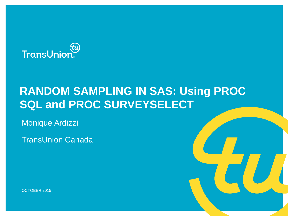

# **RANDOM SAMPLING IN SAS: Using PROC SQL and PROC SURVEYSELECT**

Monique Ardizzi

TransUnion Canada

OCTOBER 2015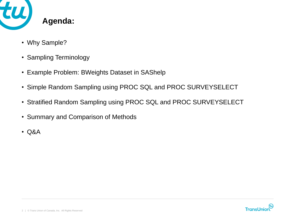

- Why Sample?
- Sampling Terminology
- Example Problem: BWeights Dataset in SAShelp
- Simple Random Sampling using PROC SQL and PROC SURVEYSELECT
- Stratified Random Sampling using PROC SQL and PROC SURVEYSELECT
- Summary and Comparison of Methods
- Q&A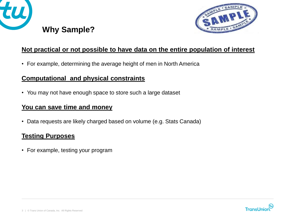



### **Not practical or not possible to have data on the entire population of interest**

• For example, determining the average height of men in North America

### **Computational and physical constraints**

• You may not have enough space to store such a large dataset

### **You can save time and money**

• Data requests are likely charged based on volume (e.g. Stats Canada)

### **Testing Purposes**

• For example, testing your program

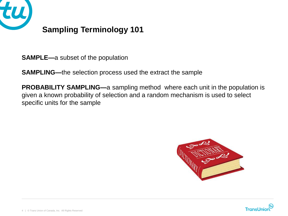

## **Sampling Terminology 101**

**SAMPLE—**a subset of the population

**SAMPLING—**the selection process used the extract the sample

**PROBABILITY SAMPLING—**a sampling method where each unit in the population is given a known probability of selection and a random mechanism is used to select specific units for the sample



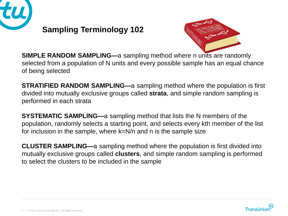

## **Sampling Terminology 102**



**SIMPLE RANDOM SAMPLING—**a sampling method where n units are randomly selected from a population of N units and every possible sample has an equal chance of being selected

**STRATIFIED RANDOM SAMPLING—**a sampling method where the population is first divided into mutually exclusive groups called **strata**, and simple random sampling is performed in each strata

**SYSTEMATIC SAMPLING—**a sampling method that lists the N members of the population, randomly selects a starting point, and selects every kth member of the list for inclusion in the sample, where k=N/n and n is the sample size

**CLUSTER SAMPLING—**a sampling method where the population is first divided into mutually exclusive groups called **clusters**, and simple random sampling is performed to select the clusters to be included in the sample

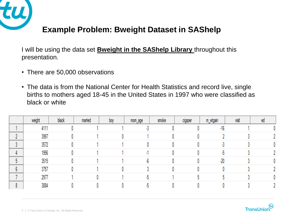

## **Example Problem: Bweight Dataset in SAShelp**

I will be using the data set **Bweight in the SAShelp Library** throughout this presentation.

- There are 50,000 observations
- The data is from the National Center for Health Statistics and record live, single births to mothers aged 18-45 in the United States in 1997 who were classified as black or white

|                           | weight | black | mamed | boy | mom_age | smoke | cigsper | m_wtgain | visit | ed |
|---------------------------|--------|-------|-------|-----|---------|-------|---------|----------|-------|----|
|                           | 4111   |       |       |     |         |       |         | $-16$    |       |    |
| $\sim$                    | 3997   |       |       |     |         |       |         |          |       |    |
| $\ddot{\phantom{1}}$<br>v | 3572   |       |       |     |         |       |         | -5       |       |    |
|                           | 1956   |       |       |     |         |       |         | -0       |       |    |
| м<br>v                    | 3515   |       |       |     |         |       |         | $-20$    |       |    |
| $\sim$<br>b               | 3757   |       |       |     |         |       |         | 0        |       |    |
|                           | 2977   |       |       |     |         |       |         |          |       |    |
| 8                         | 3884   |       |       |     |         |       |         |          |       |    |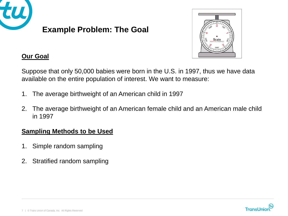



### **Our Goal**

Suppose that only 50,000 babies were born in the U.S. in 1997, thus we have data available on the entire population of interest. We want to measure:

- 1. The average birthweight of an American child in 1997
- 2. The average birthweight of an American female child and an American male child in 1997

#### **Sampling Methods to be Used**

- 1. Simple random sampling
- 2. Stratified random sampling

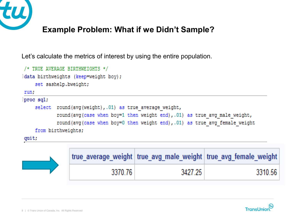

## **Example Problem: What if we Didn't Sample?**

Let's calculate the metrics of interest by using the entire population.



|         |         | true_average_weight   true_avg_male_weight   true_avg_female_weight |
|---------|---------|---------------------------------------------------------------------|
| 3370.76 | 3427-25 | 3310.56                                                             |

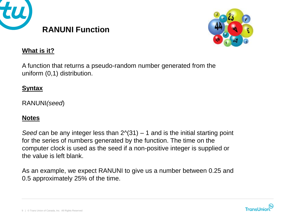



#### **What is it?**

A function that returns a pseudo-random number generated from the uniform (0,1) distribution.

#### **Syntax**

RANUNI*(seed*)

#### **Notes**

*Seed* can be any integer less than 2^(31) – 1 and is the initial starting point for the series of numbers generated by the function. The time on the computer clock is used as the seed if a non-positive integer is supplied or the value is left blank.

As an example, we expect RANUNI to give us a number between 0.25 and 0.5 approximately 25% of the time.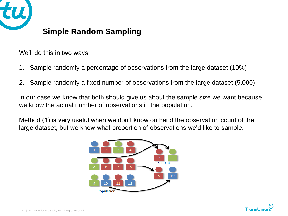

We'll do this in two ways:

- 1. Sample randomly a percentage of observations from the large dataset (10%)
- 2. Sample randomly a fixed number of observations from the large dataset (5,000)

In our case we know that both should give us about the sample size we want because we know the actual number of observations in the population.

Method (1) is very useful when we don't know on hand the observation count of the large dataset, but we know what proportion of observations we'd like to sample.



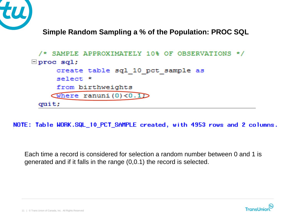

**Simple Random Sampling a % of the Population: PROC SQL**

```
/* SAMPLE APPROXIMATELY 10% OF OBSERVATIONS */
\Box proc sql;
     create table sql 10 pct sample as
     select *
     from birthweights
    Where ranuni(0) <0.1
 quit;
```
NOTE: Table WORK.SQL\_10\_PCT\_SAMPLE created, with 4953 rows and 2 columns.

Each time a record is considered for selection a random number between 0 and 1 is generated and if it falls in the range (0,0.1) the record is selected.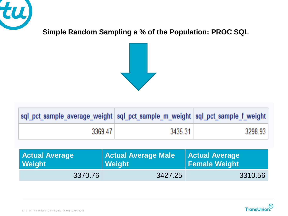

**Simple Random Sampling a % of the Population: PROC SQL**



| sql_pct_sample_average_weight   sql_pct_sample_m_weight   sql_pct_sample_f_weight |         |         |
|-----------------------------------------------------------------------------------|---------|---------|
| 3369.47                                                                           | 3435.31 | 3298.93 |

| <b>Actual Average</b> | <b>Actual Average Male</b> | <b>Actual Average</b> |  |
|-----------------------|----------------------------|-----------------------|--|
| Weight                | Weight                     | <b>Female Weight</b>  |  |
| 3370.76               | 3427.25                    | 3310.56               |  |

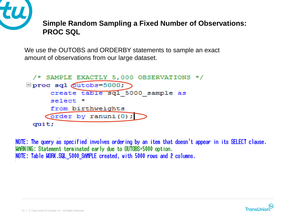

### **Simple Random Sampling a Fixed Number of Observations: PROC SQL**

We use the OUTOBS and ORDERBY statements to sample an exact amount of observations from our large dataset.

```
/* SAMPLE EXACTLY 5,000 OBSERVATIONS */\Boxproc sql \omegatobs=5000;
      create table sql 5000 sample as
      select *
      from birthweights
     \sqrt{ order by ranuni(0);
 quit;
```
NOTE: The query as specified involves ordering by an item that doesn't appear in its SELECT clause. WARNING: Statement terminated early due to OUTOBS=5000 option. NOTE: Table WORK.SQL\_5000\_SAMPLE created, with 5000 rows and 2 columns.

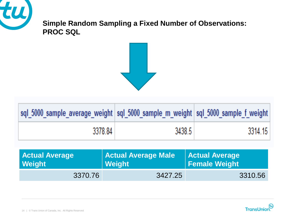

**Simple Random Sampling a Fixed Number of Observations: PROC SQL**



| sql_5000_sample_average_weight  sql_5000_sample_m_weight  sql_5000_sample_f_weight |        |         |
|------------------------------------------------------------------------------------|--------|---------|
| 3378.84                                                                            | 3438.5 | 3314.15 |

| <b>Actual Average</b> | <b>Actual Average Male</b> | <b>Actual Average</b> |  |
|-----------------------|----------------------------|-----------------------|--|
| <b>Weight</b>         | Weight                     | <b>Female Weight</b>  |  |
| 3370.76               | 3427.25                    | 3310.56               |  |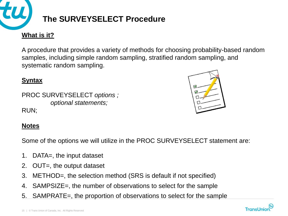

A procedure that provides a variety of methods for choosing probability-based random samples, including simple random sampling, stratified random sampling, and systematic random sampling.

### **Syntax**

PROC SURVEYSELECT *options ; optional statements;* RUN;



#### **Notes**

Some of the options we will utilize in the PROC SURVEYSELECT statement are:

- 1. DATA=, the input dataset
- 2. OUT=, the output dataset
- 3. METHOD=, the selection method (SRS is default if not specified)
- 4. SAMPSIZE=, the number of observations to select for the sample
- 5. SAMPRATE=, the proportion of observations to select for the sample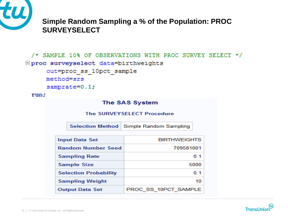

**Simple Random Sampling a % of the Population: PROC SURVEYSELECT**

```
/* SAMPLE 10% OF OBSERVATIONS WITH PROC SURVEY SELECT */
□ proc surveyselect data=birthweights
     out=proc ss 10pct sample
     method=srs
     samprate=0.1;
```

```
run;
```

| The SAS System               |                                              |                                           |     |  |
|------------------------------|----------------------------------------------|-------------------------------------------|-----|--|
|                              |                                              | <b>The SURVEYSELECT Procedure</b>         |     |  |
|                              |                                              | Selection Method   Simple Random Sampling |     |  |
|                              | <b>BIRTHWEIGHTS</b><br><b>Input Data Set</b> |                                           |     |  |
|                              | 709581001<br><b>Random Number Seed</b>       |                                           |     |  |
|                              | <b>Sampling Rate</b>                         |                                           | 0.1 |  |
|                              | <b>Sample Size</b>                           | 5000                                      |     |  |
| <b>Selection Probability</b> |                                              |                                           | 0.1 |  |
|                              | <b>Sampling Weight</b>                       |                                           | 10  |  |
|                              | <b>Output Data Set</b>                       | PROC SS 10PCT SAMPLE                      |     |  |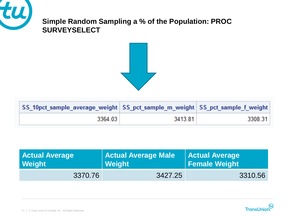

### **Simple Random Sampling a % of the Population: PROC SURVEYSELECT**



| SS_10pct_sample_average_weight   SS_pct_sample_m_weight   SS_pct_sample_f_weight |         |         |
|----------------------------------------------------------------------------------|---------|---------|
| 3364.03                                                                          | 3413.81 | 3308.31 |

| <b>Actual Average</b> | <b>Actual Average Male</b> | <b>Actual Average</b> |  |
|-----------------------|----------------------------|-----------------------|--|
| Weight                | ∣ Weight ∣                 | <b>Female Weight</b>  |  |
| 3370.76               | 3427.25                    | 3310.56               |  |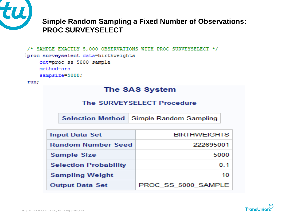

### **Simple Random Sampling a Fixed Number of Observations: PROC SURVEYSELECT**

```
/* SAMPLE EXACTLY 5,000 OBSERVATIONS WITH PROC SURVEYSELECT */
proc surveyselect data=birthweights
    out=proc ss 5000 sample
    method=srs
    sampsize=5000;
run;
```
#### **The SAS System**

#### The SURVEYSELECT Procedure

| <b>Input Data Set</b>        | <b>BIRTHWEIGHTS</b> |
|------------------------------|---------------------|
| <b>Random Number Seed</b>    | 222695001           |
| <b>Sample Size</b>           | 5000                |
| <b>Selection Probability</b> | 0 <sub>1</sub>      |
| <b>Sampling Weight</b>       |                     |
| <b>Output Data Set</b>       | PROC SS 5000 SAMPLE |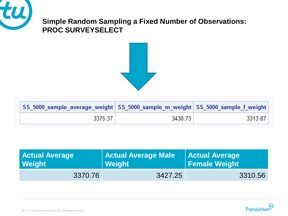

### **Simple Random Sampling a Fixed Number of Observations: PROC SURVEYSELECT**



| │SS_5000_sample_average_weight│SS_5000_sample_m_weight│SS_5000_sample_f_weight│ |         |         |
|---------------------------------------------------------------------------------|---------|---------|
| 3375.37                                                                         | 3430.73 | 3313.87 |

| <b>Actual Average</b> | <b>Actual Average Male</b> | <b>Actual Average</b> |  |
|-----------------------|----------------------------|-----------------------|--|
| Weight                | <b>Weight</b>              |                       |  |
| 3370.76               | 3427.25                    | 3310.56               |  |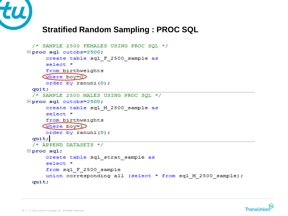

## **Stratified Random Sampling : PROC SQL**

```
/* SAMPLE 2500 FEMALES USING PROC SQL */
\Boxproc sql outobs=2500;
     create table sql F 2500 sample as
     select *
     from birthweights
    where boy=0
     order by ranuni(0);
 quit;
 /* SAMPLE 2500 MALES USING PROC SQL */
□ proc sql outobs=2500;
     create table sql M 2500 sample as
     select *
     from birthweights
    where boy=1
     order by ranuni (0);
 quit;/* APPEND DATASETS */\Boxproc sql;
     create table sql strat sample as
     select *
     from sql F 2500 sample
     union corresponding all (select * from sql M 2500 sample);
 quit;
```
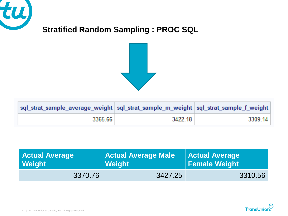

## **Stratified Random Sampling : PROC SQL**



| ∣sql_strat_sample_average_weight   sql_strat_sample_m_weight   sql_strat_sample_f_weight |         |         |
|------------------------------------------------------------------------------------------|---------|---------|
| 3365.66                                                                                  | 3422.18 | 3309.14 |

| <b>Actual Average</b> | <b>Actual Average Male</b> | <b>Actual Average</b> |  |
|-----------------------|----------------------------|-----------------------|--|
| Weight                | Weight                     | Female Weight         |  |
| 3370.76               | 3427.25                    | 3310.56               |  |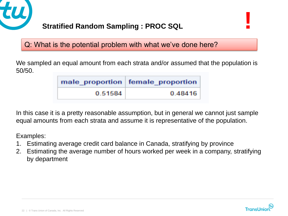

### **Stratified Random Sampling : PROC SQL !**

Q: What is the potential problem with what we've done here?

We sampled an equal amount from each strata and/or assumed that the population is 50/50.

|         | male proportion female proportion |
|---------|-----------------------------------|
| 0.51584 | 0.48416                           |

In this case it is a pretty reasonable assumption, but in general we cannot just sample equal amounts from each strata and assume it is representative of the population.

Examples:

- 1. Estimating average credit card balance in Canada, stratifying by province
- 2. Estimating the average number of hours worked per week in a company, stratifying by department

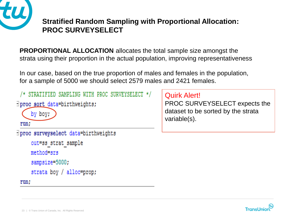

### **Stratified Random Sampling with Proportional Allocation: PROC SURVEYSELECT**

**PROPORTIONAL ALLOCATION** allocates the total sample size amongst the strata using their proportion in the actual population, improving representativeness

In our case, based on the true proportion of males and females in the population, for a sample of 5000 we should select 2579 males and 2421 females.

```
/* STRATIFIED SAMPLING WITH PROC SURVEYSELECT */
\existsproc sort data=birthweights;
     by boy;
 run;
Iproc surveyselect data=birthweights
     out=ss strat sample
```

```
method=srs
sampsize=5000;
strata boy / alloc=prop;
```
Quirk Alert!

PROC SURVEYSELECT expects the dataset to be sorted by the strata variable(s).



run;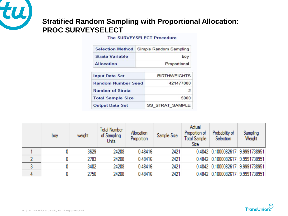

### **Stratified Random Sampling with Proportional Allocation: PROC SURVEYSELECT**

#### **The SURVEYSELECT Procedure**

| <b>Selection Method</b>                              |     | Simple Random Sampling |  |
|------------------------------------------------------|-----|------------------------|--|
| <b>Strata Variable</b>                               | boy |                        |  |
| <b>Allocation</b>                                    |     | Proportional           |  |
| <b>Input Data Set</b>                                |     | <b>BIRTHWEIGHTS</b>    |  |
| <b>Random Number Seed</b><br><b>Number of Strata</b> |     | 421477000<br>2         |  |
|                                                      |     |                        |  |
| <b>Output Data Set</b>                               |     | <b>SS_STRAT_SAMPLE</b> |  |

| boy | weight | <b>Total Number</b><br>of Sampling<br>Units | Allocation<br>Proportion | Sample Size | Actual<br>Proportion of<br>Total Sample<br>Size | Probability of<br>Selection      | Sampling<br>Weight |
|-----|--------|---------------------------------------------|--------------------------|-------------|-------------------------------------------------|----------------------------------|--------------------|
|     | 3629   | 24208                                       | 0.48416                  | 2421        |                                                 | 0.4842 0.1000082617 9.9991738951 |                    |
|     | 2783   | 24208                                       | 0.48416                  | 2421        |                                                 | 0.4842 0.1000082617 9.9991738951 |                    |
|     | 3402   | 24208                                       | 0.48416                  | 2421        |                                                 | 0.4842 0.1000082617 9.9991738951 |                    |
|     | 2750   | 24208                                       | 0.48416                  | 2421        |                                                 | 0.4842 0.1000082617 9.9991738951 |                    |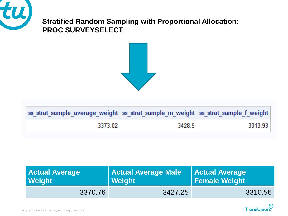

### **Stratified Random Sampling with Proportional Allocation: PROC SURVEYSELECT**



| ∣ss_strat_sample_average_weight   ss_strat_sample_m_weight   ss_strat_sample_f_weight |        |         |
|---------------------------------------------------------------------------------------|--------|---------|
| $-3373.02 +$                                                                          | 3428.5 | 3313.93 |

| <b>Actual Average</b> | <b>Actual Average Male</b> | <b>Actual Average</b>    |  |
|-----------------------|----------------------------|--------------------------|--|
| Weight                | <b>Weight</b>              | <b>I</b> Female Weight I |  |
| 3370.76               | 3427.25                    | 3310.56                  |  |

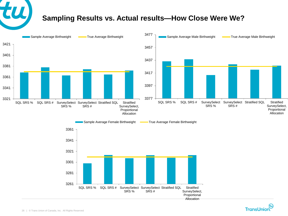### **Sampling Results vs. Actual results—How Close Were We?**



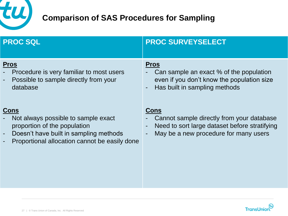

## **Comparison of SAS Procedures for Sampling**

| <b>PROC SQL</b>                                                                                                                                                               | <b>PROC SURVEYSELECT</b>                                                                                                                           |
|-------------------------------------------------------------------------------------------------------------------------------------------------------------------------------|----------------------------------------------------------------------------------------------------------------------------------------------------|
| <b>Pros</b><br>Procedure is very familiar to most users<br>Possible to sample directly from your<br>database                                                                  | <b>Pros</b><br>Can sample an exact % of the population<br>even if you don't know the population size<br>Has built in sampling methods              |
| <u>Cons</u><br>Not always possible to sample exact<br>proportion of the population<br>Doesn't have built in sampling methods<br>Proportional allocation cannot be easily done | <b>Cons</b><br>Cannot sample directly from your database<br>Need to sort large dataset before stratifying<br>May be a new procedure for many users |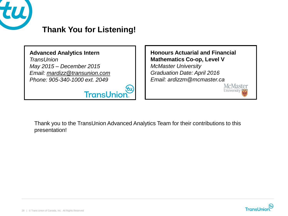

## **Thank You for Listening!**

**TransUnior** 

**Advanced Analytics Intern** *TransUnion May 2015 – December 2015 Email: [mardizz@transunion.com](mailto:mardizz@transunion.com) Phone: 905-340-1000 ext. 2049*

**Honours Actuarial and Financial Mathematics Co-op, Level V** *McMaster University Graduation Date: April 2016 Email: ardizzm@mcmaster.ca*

Thank you to the TransUnion Advanced Analytics Team for their contributions to this presentation!

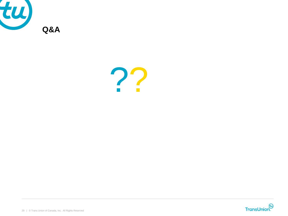



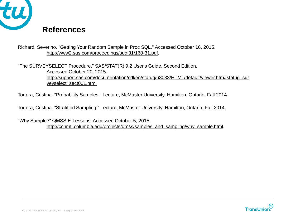

Richard, Severino. "Getting Your Random Sample in Proc SQL." Accessed October 16, 2015. [http://www2.sas.com/proceedings/sugi31/168-31.pdf.](http://www2.sas.com/proceedings/sugi31/168-31.pdf)

"The SURVEYSELECT Procedure." SAS/STAT(R) 9.2 User's Guide, Second Edition. Accessed October 20, 2015. [http://support.sas.com/documentation/cdl/en/statug/63033/HTML/default/viewer.htm#statug\\_sur](http://support.sas.com/documentation/cdl/en/statug/63033/HTML/default/viewer.htm#statug_sur) veyselect\_sect001.htm.

Tortora, Cristina. "Probability Samples." Lecture, McMaster University, Hamilton, Ontario, Fall 2014.

Tortora, Cristina. "Stratified Sampling." Lecture, McMaster University, Hamilton, Ontario, Fall 2014.

"Why Sample?" QMSS E-Lessons. Accessed October 5, 2015. [http://ccnmtl.columbia.edu/projects/qmss/samples\\_and\\_sampling/why\\_sample.html.](http://ccnmtl.columbia.edu/projects/qmss/samples_and_sampling/why_sample.html)